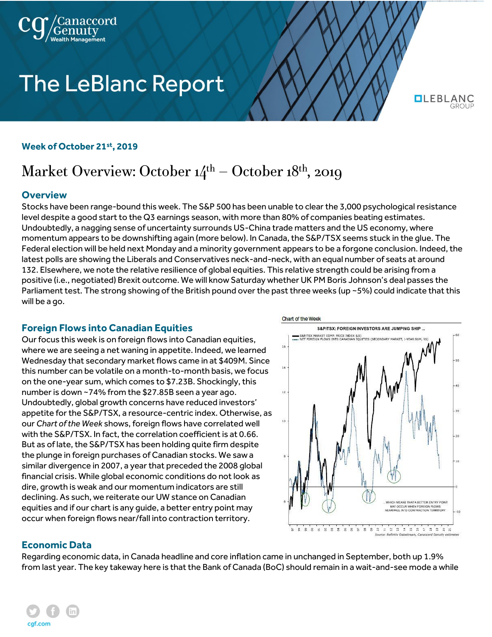

# **The LeBlanc Report**

**QLEBLANC** 

#### **Week of October 21st, 2019**

# Market Overview: October  $14<sup>th</sup>$  – October  $18<sup>th</sup>$ , 2019

## **Overview**

Stocks have been range-bound this week. The S&P 500 has been unable to clear the 3,000 psychological resistance level despite a good start to the Q3 earnings season, with more than 80% of companies beating estimates. Undoubtedly, a nagging sense of uncertainty surrounds US-China trade matters and the US economy, where momentum appears to be downshifting again (more below). In Canada, the S&P/TSX seems stuck in the glue. The Federal election will be held next Monday and a minority government appears to be a forgone conclusion. Indeed, the latest polls are showing the Liberals and Conservatives neck-and-neck, with an equal number of seats at around 132. Elsewhere, we note the relative resilience of global equities. This relative strength could be arising from a positive (i.e., negotiated) Brexit outcome. We will know Saturday whether UK PM Boris Johnson's deal passes the Parliament test. The strong showing of the British pound over the past three weeks (up ~5%) could indicate that this will be a go.

# **Foreign Flows into Canadian Equities**

Our focus this week is on foreign flows into Canadian equities, where we are seeing a net waning in appetite. Indeed, we learned Wednesday that secondary market flows came in at \$409M. Since this number can be volatile on a month-to-month basis, we focus on the one-year sum, which comes to \$7.23B. Shockingly, this number is down ~74% from the \$27.85B seen a year ago. Undoubtedly, global growth concerns have reduced investors' appetite for the S&P/TSX, a resource-centric index. Otherwise, as our *Chart of the Week* shows, foreign flows have correlated well with the S&P/TSX. In fact, the correlation coefficient is at 0.66. But as of late, the S&P/TSX has been holding quite firm despite the plunge in foreign purchases of Canadian stocks. We saw a similar divergence in 2007, a year that preceded the 2008 global financial crisis. While global economic conditions do not look as dire, growth is weak and our momentum indicators are still declining. As such, we reiterate our UW stance on Canadian equities and if our chart is any guide, a better entry point may occur when foreign flows near/fall into contraction territory.



#### **Economic Data**

Regarding economic data, in Canada headline and core inflation came in unchanged in September, both up 1.9% from last year. The key takeway here is that the Bank of Canada (BoC) should remain in a wait-and-see mode a while